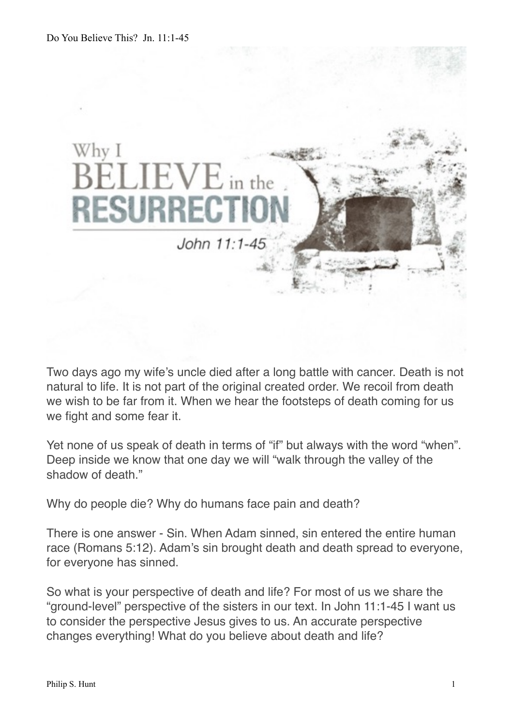

Two days ago my wife's uncle died after a long battle with cancer. Death is not natural to life. It is not part of the original created order. We recoil from death we wish to be far from it. When we hear the footsteps of death coming for us we fight and some fear it.

Yet none of us speak of death in terms of "if" but always with the word "when". Deep inside we know that one day we will "walk through the valley of the shadow of death."

Why do people die? Why do humans face pain and death?

There is one answer - Sin. When Adam sinned, sin entered the entire human race (Romans 5:12). Adam's sin brought death and death spread to everyone, for everyone has sinned.

So what is your perspective of death and life? For most of us we share the "ground-level" perspective of the sisters in our text. In John 11:1-45 I want us to consider the perspective Jesus gives to us. An accurate perspective changes everything! What do you believe about death and life?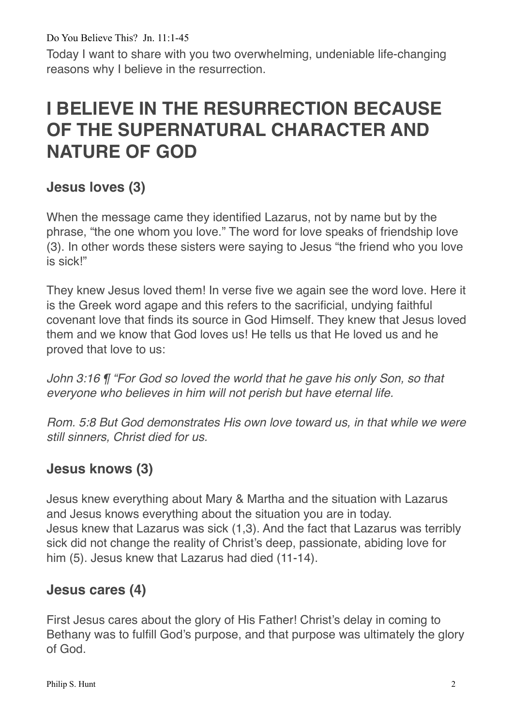Today I want to share with you two overwhelming, undeniable life-changing reasons why I believe in the resurrection.

# **I BELIEVE IN THE RESURRECTION BECAUSE OF THE SUPERNATURAL CHARACTER AND NATURE OF GOD**

## **Jesus loves (3)**

When the message came they identified Lazarus, not by name but by the phrase, "the one whom you love." The word for love speaks of friendship love (3). In other words these sisters were saying to Jesus "the friend who you love is sick!"

They knew Jesus loved them! In verse five we again see the word love. Here it is the Greek word agape and this refers to the sacrificial, undying faithful covenant love that finds its source in God Himself. They knew that Jesus loved them and we know that God loves us! He tells us that He loved us and he proved that love to us:

*John 3:16 ¶ "For God so loved the world that he gave his only Son, so that everyone who believes in him will not perish but have eternal life.*

*Rom. 5:8 But God demonstrates His own love toward us, in that while we were still sinners, Christ died for us.*

## **Jesus knows (3)**

Jesus knew everything about Mary & Martha and the situation with Lazarus and Jesus knows everything about the situation you are in today. Jesus knew that Lazarus was sick (1,3). And the fact that Lazarus was terribly sick did not change the reality of Christ's deep, passionate, abiding love for him (5). Jesus knew that Lazarus had died (11-14).

#### **Jesus cares (4)**

First Jesus cares about the glory of His Father! Christ's delay in coming to Bethany was to fulfill God's purpose, and that purpose was ultimately the glory of God.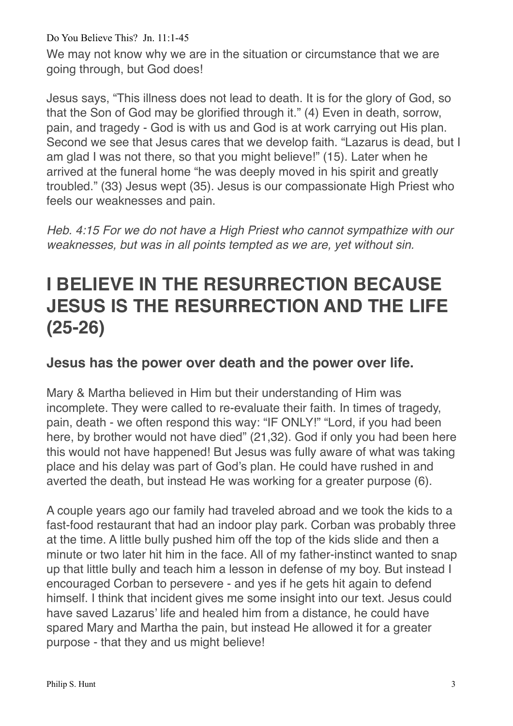We may not know why we are in the situation or circumstance that we are going through, but God does!

Jesus says, "This illness does not lead to death. It is for the glory of God, so that the Son of God may be glorified through it." (4) Even in death, sorrow, pain, and tragedy - God is with us and God is at work carrying out His plan. Second we see that Jesus cares that we develop faith. "Lazarus is dead, but I am glad I was not there, so that you might believe!" (15). Later when he arrived at the funeral home "he was deeply moved in his spirit and greatly troubled." (33) Jesus wept (35). Jesus is our compassionate High Priest who feels our weaknesses and pain.

*Heb. 4:15 For we do not have a High Priest who cannot sympathize with our weaknesses, but was in all points tempted as we are, yet without sin.*

# **I BELIEVE IN THE RESURRECTION BECAUSE JESUS IS THE RESURRECTION AND THE LIFE (25-26)**

### **Jesus has the power over death and the power over life.**

Mary & Martha believed in Him but their understanding of Him was incomplete. They were called to re-evaluate their faith. In times of tragedy, pain, death - we often respond this way: "IF ONLY!" "Lord, if you had been here, by brother would not have died" (21,32). God if only you had been here this would not have happened! But Jesus was fully aware of what was taking place and his delay was part of God's plan. He could have rushed in and averted the death, but instead He was working for a greater purpose (6).

A couple years ago our family had traveled abroad and we took the kids to a fast-food restaurant that had an indoor play park. Corban was probably three at the time. A little bully pushed him off the top of the kids slide and then a minute or two later hit him in the face. All of my father-instinct wanted to snap up that little bully and teach him a lesson in defense of my boy. But instead I encouraged Corban to persevere - and yes if he gets hit again to defend himself. I think that incident gives me some insight into our text. Jesus could have saved Lazarus' life and healed him from a distance, he could have spared Mary and Martha the pain, but instead He allowed it for a greater purpose - that they and us might believe!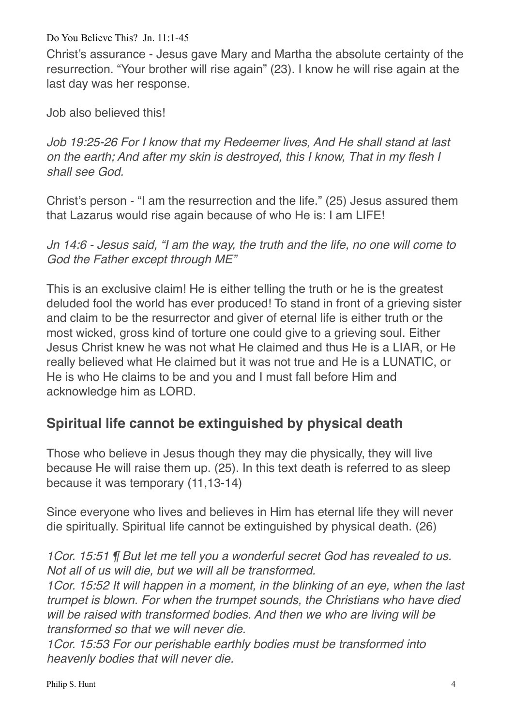Christ's assurance - Jesus gave Mary and Martha the absolute certainty of the resurrection. "Your brother will rise again" (23). I know he will rise again at the last day was her response.

Job also believed this!

*Job 19:25-26 For I know that my Redeemer lives, And He shall stand at last on the earth; And after my skin is destroyed, this I know, That in my flesh I shall see God.*

Christ's person - "I am the resurrection and the life." (25) Jesus assured them that Lazarus would rise again because of who He is: I am LIFE!

*Jn 14:6 - Jesus said, "I am the way, the truth and the life, no one will come to God the Father except through ME"*

This is an exclusive claim! He is either telling the truth or he is the greatest deluded fool the world has ever produced! To stand in front of a grieving sister and claim to be the resurrector and giver of eternal life is either truth or the most wicked, gross kind of torture one could give to a grieving soul. Either Jesus Christ knew he was not what He claimed and thus He is a LIAR, or He really believed what He claimed but it was not true and He is a LUNATIC, or He is who He claims to be and you and I must fall before Him and acknowledge him as LORD.

## **Spiritual life cannot be extinguished by physical death**

Those who believe in Jesus though they may die physically, they will live because He will raise them up. (25). In this text death is referred to as sleep because it was temporary (11,13-14)

Since everyone who lives and believes in Him has eternal life they will never die spiritually. Spiritual life cannot be extinguished by physical death. (26)

*1Cor. 15:51 ¶ But let me tell you a wonderful secret God has revealed to us. Not all of us will die, but we will all be transformed.* 

*1Cor. 15:52 It will happen in a moment, in the blinking of an eye, when the last trumpet is blown. For when the trumpet sounds, the Christians who have died will be raised with transformed bodies. And then we who are living will be transformed so that we will never die.* 

*1Cor. 15:53 For our perishable earthly bodies must be transformed into heavenly bodies that will never die.*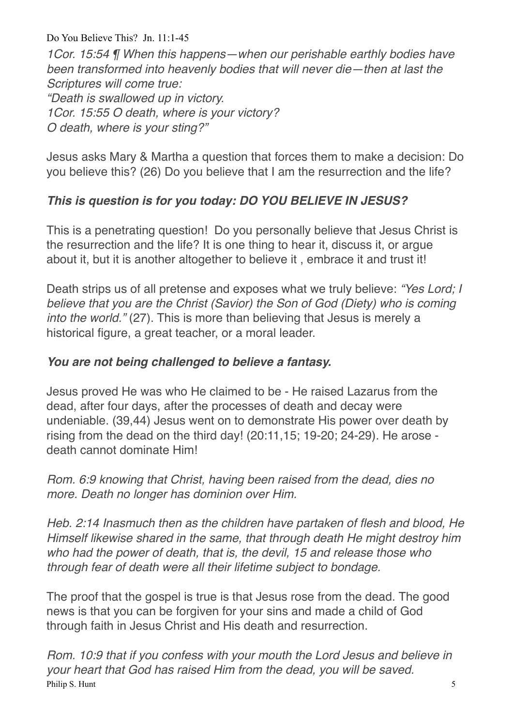*1Cor. 15:54 ¶ When this happens—when our perishable earthly bodies have been transformed into heavenly bodies that will never die—then at last the Scriptures will come true: "Death is swallowed up in victory. 1Cor. 15:55 O death, where is your victory? O death, where is your sting?"*

Jesus asks Mary & Martha a question that forces them to make a decision: Do you believe this? (26) Do you believe that I am the resurrection and the life?

### *This is question is for you today: DO YOU BELIEVE IN JESUS?*

This is a penetrating question! Do you personally believe that Jesus Christ is the resurrection and the life? It is one thing to hear it, discuss it, or argue about it, but it is another altogether to believe it , embrace it and trust it!

Death strips us of all pretense and exposes what we truly believe: *"Yes Lord; I believe that you are the Christ (Savior) the Son of God (Diety) who is coming into the world."* (27). This is more than believing that Jesus is merely a historical figure, a great teacher, or a moral leader.

#### *You are not being challenged to believe a fantasy.*

Jesus proved He was who He claimed to be - He raised Lazarus from the dead, after four days, after the processes of death and decay were undeniable. (39,44) Jesus went on to demonstrate His power over death by rising from the dead on the third day! (20:11,15; 19-20; 24-29). He arose death cannot dominate Him!

*Rom. 6:9 knowing that Christ, having been raised from the dead, dies no more. Death no longer has dominion over Him.*

*Heb. 2:14 Inasmuch then as the children have partaken of flesh and blood, He Himself likewise shared in the same, that through death He might destroy him who had the power of death, that is, the devil, 15 and release those who through fear of death were all their lifetime subject to bondage.*

The proof that the gospel is true is that Jesus rose from the dead. The good news is that you can be forgiven for your sins and made a child of God through faith in Jesus Christ and His death and resurrection.

*Rom. 10:9 that if you confess with your mouth the Lord Jesus and believe in your heart that God has raised Him from the dead, you will be saved.* Philip S. Hunt 5